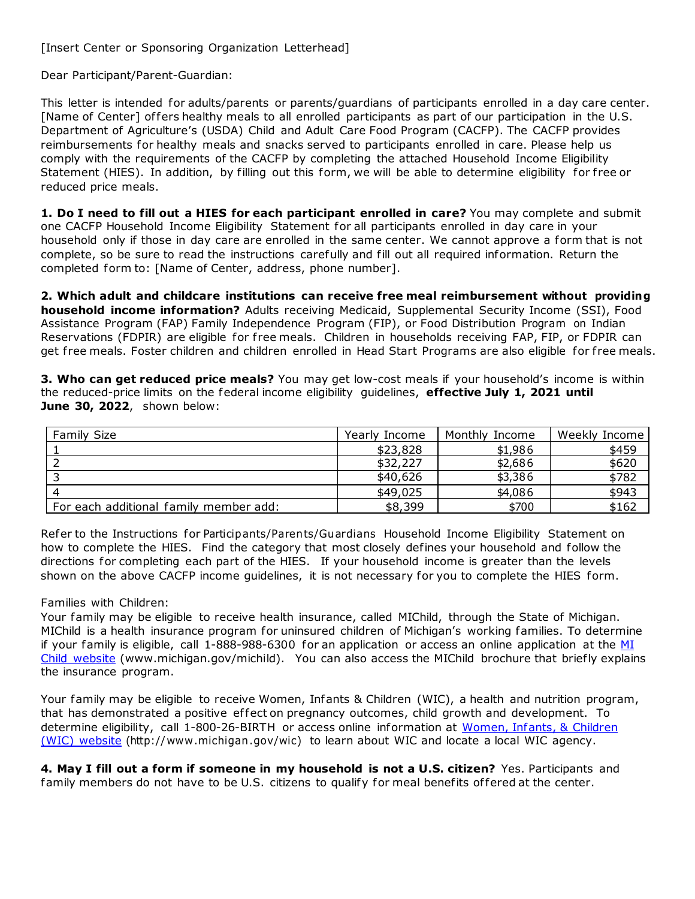Dear Participant/Parent-Guardian:

This letter is intended for adults/parents or parents/guardians of participants enrolled in a day care center. [Name of Center] offers healthy meals to all enrolled participants as part of our participation in the U.S. Department of Agriculture's (USDA) Child and Adult Care Food Program (CACFP). The CACFP provides reimbursements for healthy meals and snacks served to participants enrolled in care. Please help us comply with the requirements of the CACFP by completing the attached Household Income Eligibility Statement (HIES). In addition, by filling out this form, we will be able to determine eligibility for free or reduced price meals.

**1. Do I need to fill out a HIES for each participant enrolled in care?** You may complete and submit one CACFP Household Income Eligibility Statement for all participants enrolled in day care in your household only if those in day care are enrolled in the same center. We cannot approve a form that is not complete, so be sure to read the instructions carefully and fill out all required information. Return the completed form to: [Name of Center, address, phone number].

**2. Which adult and childcare institutions can receive free meal reimbursement without providing household income information?** Adults receiving Medicaid, Supplemental Security Income (SSI), Food Assistance Program (FAP) Family Independence Program (FIP), or Food Distribution Program on Indian Reservations (FDPIR) are eligible for free meals. Children in households receiving FAP, FIP, or FDPIR can get free meals. Foster children and children enrolled in Head Start Programs are also eligible for free meals.

**3. Who can get reduced price meals?** You may get low-cost meals if your household's income is within the reduced-price limits on the federal income eligibility guidelines, **effective July 1, 2021 until June 30, 2022**, shown below:

| Family Size                            | Yearly Income | Monthly Income | Weekly Income |
|----------------------------------------|---------------|----------------|---------------|
|                                        | \$23,828      | \$1,986        | \$459         |
|                                        | \$32,227      | \$2,686        | \$620         |
|                                        | \$40,626      | \$3,386        | \$782         |
|                                        | \$49,025      | \$4,086        | \$943         |
| For each additional family member add: | \$8,399       | \$700          | \$162         |

Refer to the Instructions for Particip ants/Parents/Guardians Household Income Eligibility Statement on how to complete the HIES. Find the category that most closely defines your household and follow the directions for completing each part of the HIES. If your household income is greater than the levels shown on the above CACFP income guidelines, it is not necessary for you to complete the HIES form.

## Families with Children:

Your family may be eligible to receive health insurance, called MIChild, through the State of Michigan. MIChild is a health insurance program for uninsured children of Michigan's working families. To determine if your family is eligible, call  $1-888-988-6300$  for an application or access an online application at the  $M$ [Child website \(](http://www.michigan.gov/michild)[www.michigan.gov/michild\). Y](http://www.michigan.gov/michild))ou can also access the MIChild brochure that briefly explains the insurance program.

Your family may be eligible to receive Women, Infants & Children (WIC), a health and nutrition program, that has demonstrated a positive effect on pregnancy outcomes, child growth and development. To determine eligibility, call 1-800-26-BIRTH or access online information at [Women, Infants, & Children](http://www.michigan.gov/wic)  [\(WIC\) website](http://www.michigan.gov/wic) [\(http://www.michigan.gov/wic\)](http://www.michigan.gov/wic)) to learn about WIC and locate a local WIC agency.

**4. May I fill out a form if someone in my household is not a U.S. citizen?** Yes. Participants and family members do not have to be U.S. citizens to qualify for meal benefits of fered at the center.